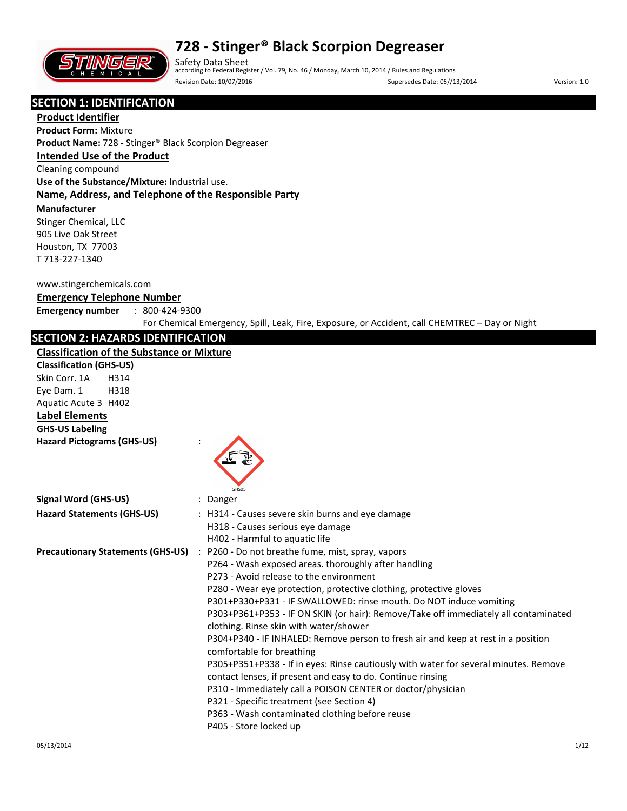

Safety Data Sheet according to Federal Register / Vol. 79, No. 46 / Monday, March 10, 2014 / Rules and Regulations Revision Date: 10/07/2016 Supersedes Date: 05//13/2014 Version: 1.0

## **SECTION 1: IDENTIFICATION**

**Product Identifier Product Form:** Mixture **Product Name:** 728 - Stinger® Black Scorpion Degreaser

## **Intended Use of the Product**

Cleaning compound

**Use of the Substance/Mixture:** Industrial use.

#### **Name, Address, and Telephone of the Responsible Party**

#### **Manufacturer**

Stinger Chemical, LLC 905 Live Oak Street Houston, TX 77003 T 713-227-1340

#### www.stingerchemicals.com

#### **Emergency Telephone Number**

**Emergency number** : 800-424-9300

For Chemical Emergency, Spill, Leak, Fire, Exposure, or Accident, call CHEMTREC – Day or Night

## **SECTION 2: HAZARDS IDENTIFICATION**

#### **Classification of the Substance or Mixture**

| Classification of the Substance or Mixture |                                                                                                                                                                                                                                                                                                                                                                                                                                                                                                                                                                                                                                                                                                                                                                                                                                                                                                                                      |  |  |  |  |  |
|--------------------------------------------|--------------------------------------------------------------------------------------------------------------------------------------------------------------------------------------------------------------------------------------------------------------------------------------------------------------------------------------------------------------------------------------------------------------------------------------------------------------------------------------------------------------------------------------------------------------------------------------------------------------------------------------------------------------------------------------------------------------------------------------------------------------------------------------------------------------------------------------------------------------------------------------------------------------------------------------|--|--|--|--|--|
| <b>Classification (GHS-US)</b>             |                                                                                                                                                                                                                                                                                                                                                                                                                                                                                                                                                                                                                                                                                                                                                                                                                                                                                                                                      |  |  |  |  |  |
| Skin Corr. 1A<br>H314                      |                                                                                                                                                                                                                                                                                                                                                                                                                                                                                                                                                                                                                                                                                                                                                                                                                                                                                                                                      |  |  |  |  |  |
| Eye Dam. 1<br>H318                         |                                                                                                                                                                                                                                                                                                                                                                                                                                                                                                                                                                                                                                                                                                                                                                                                                                                                                                                                      |  |  |  |  |  |
| Aquatic Acute 3 H402                       |                                                                                                                                                                                                                                                                                                                                                                                                                                                                                                                                                                                                                                                                                                                                                                                                                                                                                                                                      |  |  |  |  |  |
| <b>Label Elements</b>                      |                                                                                                                                                                                                                                                                                                                                                                                                                                                                                                                                                                                                                                                                                                                                                                                                                                                                                                                                      |  |  |  |  |  |
| <b>GHS-US Labeling</b>                     |                                                                                                                                                                                                                                                                                                                                                                                                                                                                                                                                                                                                                                                                                                                                                                                                                                                                                                                                      |  |  |  |  |  |
| <b>Hazard Pictograms (GHS-US)</b>          | GHS05                                                                                                                                                                                                                                                                                                                                                                                                                                                                                                                                                                                                                                                                                                                                                                                                                                                                                                                                |  |  |  |  |  |
| <b>Signal Word (GHS-US)</b>                | : Danger                                                                                                                                                                                                                                                                                                                                                                                                                                                                                                                                                                                                                                                                                                                                                                                                                                                                                                                             |  |  |  |  |  |
| <b>Hazard Statements (GHS-US)</b>          | : H314 - Causes severe skin burns and eye damage<br>H318 - Causes serious eye damage<br>H402 - Harmful to aquatic life                                                                                                                                                                                                                                                                                                                                                                                                                                                                                                                                                                                                                                                                                                                                                                                                               |  |  |  |  |  |
|                                            | Precautionary Statements (GHS-US) : P260 - Do not breathe fume, mist, spray, vapors<br>P264 - Wash exposed areas. thoroughly after handling<br>P273 - Avoid release to the environment<br>P280 - Wear eye protection, protective clothing, protective gloves<br>P301+P330+P331 - IF SWALLOWED: rinse mouth. Do NOT induce vomiting<br>P303+P361+P353 - IF ON SKIN (or hair): Remove/Take off immediately all contaminated<br>clothing. Rinse skin with water/shower<br>P304+P340 - IF INHALED: Remove person to fresh air and keep at rest in a position<br>comfortable for breathing<br>P305+P351+P338 - If in eyes: Rinse cautiously with water for several minutes. Remove<br>contact lenses, if present and easy to do. Continue rinsing<br>P310 - Immediately call a POISON CENTER or doctor/physician<br>P321 - Specific treatment (see Section 4)<br>P363 - Wash contaminated clothing before reuse<br>P405 - Store locked up |  |  |  |  |  |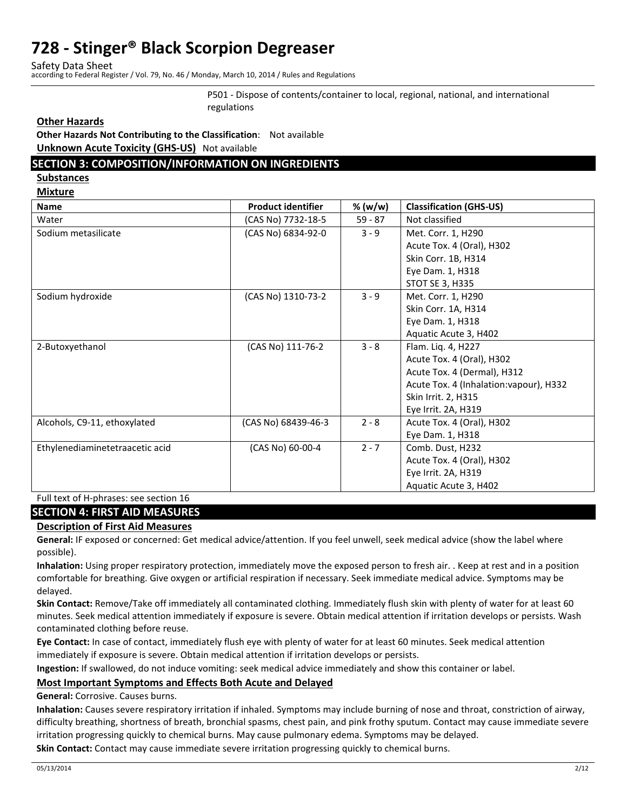Safety Data Sheet

according to Federal Register / Vol. 79, No. 46 / Monday, March 10, 2014 / Rules and Regulations

P501 - Dispose of contents/container to local, regional, national, and international regulations

#### **Other Hazards**

**Other Hazards Not Contributing to the Classification**: Not available **Unknown Acute Toxicity (GHS-US)** Not available

## **SECTION 3: COMPOSITION/INFORMATION ON INGREDIENTS**

**Substances** 

**Mixture** 

| <b>Name</b>                     | <b>Product identifier</b> | % (w/w)   | <b>Classification (GHS-US)</b>          |
|---------------------------------|---------------------------|-----------|-----------------------------------------|
| Water                           | (CAS No) 7732-18-5        | $59 - 87$ | Not classified                          |
| Sodium metasilicate             | (CAS No) 6834-92-0        | $3 - 9$   | Met. Corr. 1, H290                      |
|                                 |                           |           | Acute Tox. 4 (Oral), H302               |
|                                 |                           |           | Skin Corr. 1B, H314                     |
|                                 |                           |           | Eye Dam. 1, H318                        |
|                                 |                           |           | <b>STOT SE 3, H335</b>                  |
| Sodium hydroxide                | (CAS No) 1310-73-2        | $3 - 9$   | Met. Corr. 1, H290                      |
|                                 |                           |           | Skin Corr. 1A, H314                     |
|                                 |                           |           | Eye Dam. 1, H318                        |
|                                 |                           |           | Aquatic Acute 3, H402                   |
| 2-Butoxyethanol                 | (CAS No) 111-76-2         | $3 - 8$   | Flam. Liq. 4, H227                      |
|                                 |                           |           | Acute Tox. 4 (Oral), H302               |
|                                 |                           |           | Acute Tox. 4 (Dermal), H312             |
|                                 |                           |           | Acute Tox. 4 (Inhalation: vapour), H332 |
|                                 |                           |           | Skin Irrit. 2, H315                     |
|                                 |                           |           | Eye Irrit. 2A, H319                     |
| Alcohols, C9-11, ethoxylated    | (CAS No) 68439-46-3       | $2 - 8$   | Acute Tox. 4 (Oral), H302               |
|                                 |                           |           | Eye Dam. 1, H318                        |
| Ethylenediaminetetraacetic acid | (CAS No) 60-00-4          | $2 - 7$   | Comb. Dust, H232                        |
|                                 |                           |           | Acute Tox. 4 (Oral), H302               |
|                                 |                           |           | Eye Irrit. 2A, H319                     |
|                                 |                           |           | Aquatic Acute 3, H402                   |

#### Full text of H-phrases: see section 16

#### **SECTION 4: FIRST AID MEASURES**

#### **Description of First Aid Measures**

**General:** IF exposed or concerned: Get medical advice/attention. If you feel unwell, seek medical advice (show the label where possible).

**Inhalation:** Using proper respiratory protection, immediately move the exposed person to fresh air. . Keep at rest and in a position comfortable for breathing. Give oxygen or artificial respiration if necessary. Seek immediate medical advice. Symptoms may be delayed.

**Skin Contact:** Remove/Take off immediately all contaminated clothing. Immediately flush skin with plenty of water for at least 60 minutes. Seek medical attention immediately if exposure is severe. Obtain medical attention if irritation develops or persists. Wash contaminated clothing before reuse.

**Eye Contact:** In case of contact, immediately flush eye with plenty of water for at least 60 minutes. Seek medical attention immediately if exposure is severe. Obtain medical attention if irritation develops or persists.

**Ingestion:** If swallowed, do not induce vomiting: seek medical advice immediately and show this container or label.

## **Most Important Symptoms and Effects Both Acute and Delayed**

**General:** Corrosive. Causes burns.

**Inhalation:** Causes severe respiratory irritation if inhaled. Symptoms may include burning of nose and throat, constriction of airway, difficulty breathing, shortness of breath, bronchial spasms, chest pain, and pink frothy sputum. Contact may cause immediate severe irritation progressing quickly to chemical burns. May cause pulmonary edema. Symptoms may be delayed.

**Skin Contact:** Contact may cause immediate severe irritation progressing quickly to chemical burns.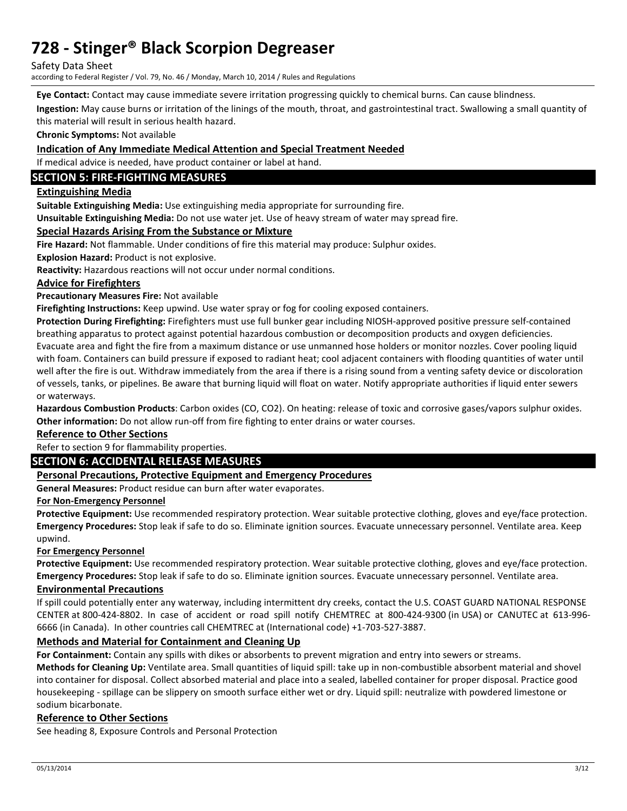Safety Data Sheet

according to Federal Register / Vol. 79, No. 46 / Monday, March 10, 2014 / Rules and Regulations

**Eye Contact:** Contact may cause immediate severe irritation progressing quickly to chemical burns. Can cause blindness.

**Ingestion:** May cause burns or irritation of the linings of the mouth, throat, and gastrointestinal tract. Swallowing a small quantity of this material will result in serious health hazard.

**Chronic Symptoms:** Not available

#### **Indication of Any Immediate Medical Attention and Special Treatment Needed**

If medical advice is needed, have product container or label at hand.

## **SECTION 5: FIRE-FIGHTING MEASURES**

#### **Extinguishing Media**

**Suitable Extinguishing Media:** Use extinguishing media appropriate for surrounding fire.

**Unsuitable Extinguishing Media:** Do not use water jet. Use of heavy stream of water may spread fire.

#### **Special Hazards Arising From the Substance or Mixture**

**Fire Hazard:** Not flammable. Under conditions of fire this material may produce: Sulphur oxides.

**Explosion Hazard:** Product is not explosive.

**Reactivity:** Hazardous reactions will not occur under normal conditions.

#### **Advice for Firefighters**

**Precautionary Measures Fire:** Not available

**Firefighting Instructions:** Keep upwind. Use water spray or fog for cooling exposed containers.

**Protection During Firefighting:** Firefighters must use full bunker gear including NIOSH-approved positive pressure self-contained breathing apparatus to protect against potential hazardous combustion or decomposition products and oxygen deficiencies. Evacuate area and fight the fire from a maximum distance or use unmanned hose holders or monitor nozzles. Cover pooling liquid with foam. Containers can build pressure if exposed to radiant heat; cool adjacent containers with flooding quantities of water until well after the fire is out. Withdraw immediately from the area if there is a rising sound from a venting safety device or discoloration of vessels, tanks, or pipelines. Be aware that burning liquid will float on water. Notify appropriate authorities if liquid enter sewers or waterways.

**Hazardous Combustion Products**: Carbon oxides (CO, CO2). On heating: release of toxic and corrosive gases/vapors sulphur oxides. **Other information:** Do not allow run-off from fire fighting to enter drains or water courses.

#### **Reference to Other Sections**

## Refer to section 9 for flammability properties.

## **SECTION 6: ACCIDENTAL RELEASE MEASURES**

#### **Personal Precautions, Protective Equipment and Emergency Procedures**

**General Measures:** Product residue can burn after water evaporates.

#### **For Non-Emergency Personnel**

**Protective Equipment:** Use recommended respiratory protection. Wear suitable protective clothing, gloves and eye/face protection. **Emergency Procedures:** Stop leak if safe to do so. Eliminate ignition sources. Evacuate unnecessary personnel. Ventilate area. Keep upwind.

#### **For Emergency Personnel**

**Protective Equipment:** Use recommended respiratory protection. Wear suitable protective clothing, gloves and eye/face protection. **Emergency Procedures:** Stop leak if safe to do so. Eliminate ignition sources. Evacuate unnecessary personnel. Ventilate area.

#### **Environmental Precautions**

If spill could potentially enter any waterway, including intermittent dry creeks, contact the U.S. COAST GUARD NATIONAL RESPONSE CENTER at 800-424-8802. In case of accident or road spill notify CHEMTREC at 800-424-9300 (in USA) or CANUTEC at 613-996- 6666 (in Canada). In other countries call CHEMTREC at (International code) +1-703-527-3887.

## **Methods and Material for Containment and Cleaning Up**

**For Containment:** Contain any spills with dikes or absorbents to prevent migration and entry into sewers or streams.

**Methods for Cleaning Up:** Ventilate area. Small quantities of liquid spill: take up in non-combustible absorbent material and shovel into container for disposal. Collect absorbed material and place into a sealed, labelled container for proper disposal. Practice good housekeeping - spillage can be slippery on smooth surface either wet or dry. Liquid spill: neutralize with powdered limestone or sodium bicarbonate.

#### **Reference to Other Sections**

See heading 8, Exposure Controls and Personal Protection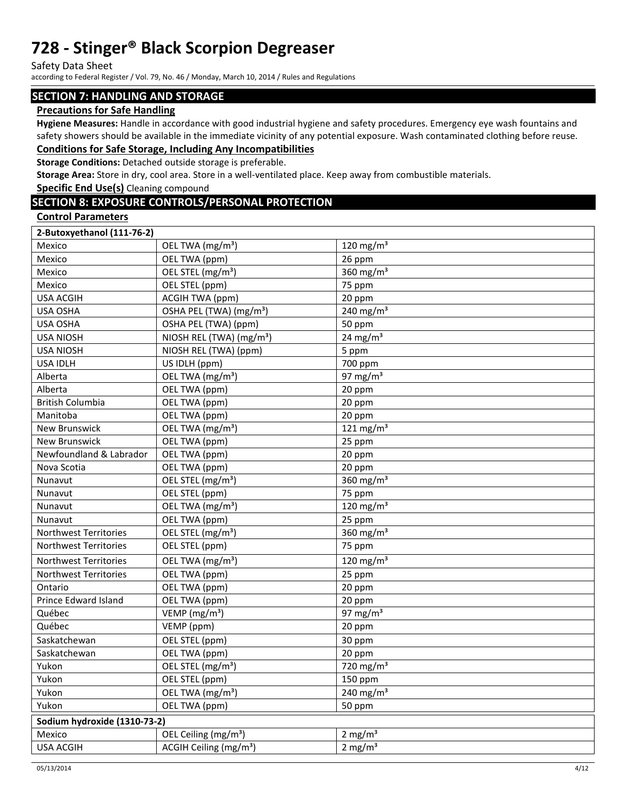Safety Data Sheet

according to Federal Register / Vol. 79, No. 46 / Monday, March 10, 2014 / Rules and Regulations

#### **SECTION 7: HANDLING AND STORAGE**

#### **Precautions for Safe Handling**

**Hygiene Measures:** Handle in accordance with good industrial hygiene and safety procedures. Emergency eye wash fountains and safety showers should be available in the immediate vicinity of any potential exposure. Wash contaminated clothing before reuse. **Conditions for Safe Storage, Including Any Incompatibilities** 

## **Storage Conditions:** Detached outside storage is preferable.

**Storage Area:** Store in dry, cool area. Store in a well-ventilated place. Keep away from combustible materials.

**Specific End Use(s)** Cleaning compound

## **SECTION 8: EXPOSURE CONTROLS/PERSONAL PROTECTION**

#### **Control Parameters**

| 2-Butoxyethanol (111-76-2)   |                                      |                                   |  |  |  |  |
|------------------------------|--------------------------------------|-----------------------------------|--|--|--|--|
| Mexico                       | OEL TWA (mg/m <sup>3</sup> )         | $120$ mg/m <sup>3</sup>           |  |  |  |  |
| Mexico                       | OEL TWA (ppm)                        | 26 ppm                            |  |  |  |  |
| Mexico                       | OEL STEL (mg/m <sup>3</sup> )        | 360 $mg/m3$                       |  |  |  |  |
| Mexico                       | OEL STEL (ppm)                       | 75 ppm                            |  |  |  |  |
| <b>USA ACGIH</b>             | <b>ACGIH TWA (ppm)</b>               | 20 ppm                            |  |  |  |  |
| <b>USA OSHA</b>              | OSHA PEL (TWA) (mg/m <sup>3</sup> )  | 240 mg/m $3$                      |  |  |  |  |
| <b>USA OSHA</b>              | OSHA PEL (TWA) (ppm)                 | 50 ppm                            |  |  |  |  |
| <b>USA NIOSH</b>             | NIOSH REL (TWA) (mg/m <sup>3</sup> ) | 24 mg/m <sup>3</sup>              |  |  |  |  |
| <b>USA NIOSH</b>             | NIOSH REL (TWA) (ppm)                | 5 ppm                             |  |  |  |  |
| <b>USA IDLH</b>              | US IDLH (ppm)                        | 700 ppm                           |  |  |  |  |
| Alberta                      | OEL TWA (mg/m <sup>3</sup> )         | 97 mg/ $m3$                       |  |  |  |  |
| Alberta                      | OEL TWA (ppm)                        | 20 ppm                            |  |  |  |  |
| <b>British Columbia</b>      | OEL TWA (ppm)                        | 20 ppm                            |  |  |  |  |
| Manitoba                     | OEL TWA (ppm)                        | 20 ppm                            |  |  |  |  |
| <b>New Brunswick</b>         | OEL TWA (mg/m <sup>3</sup> )         | 121 mg/m $3$                      |  |  |  |  |
| <b>New Brunswick</b>         | OEL TWA (ppm)                        | 25 ppm                            |  |  |  |  |
| Newfoundland & Labrador      | OEL TWA (ppm)                        | 20 ppm                            |  |  |  |  |
| Nova Scotia                  | OEL TWA (ppm)                        | 20 ppm                            |  |  |  |  |
| Nunavut                      | OEL STEL (mg/m <sup>3</sup> )        | 360 $mg/m3$                       |  |  |  |  |
| Nunavut                      | OEL STEL (ppm)                       | 75 ppm                            |  |  |  |  |
| Nunavut                      | OEL TWA (mg/m <sup>3</sup> )         | 120 mg/m $3$                      |  |  |  |  |
| Nunavut                      | OEL TWA (ppm)                        | 25 ppm                            |  |  |  |  |
| Northwest Territories        | OEL STEL (mg/m <sup>3</sup> )        | 360 $mg/m3$                       |  |  |  |  |
| Northwest Territories        | OEL STEL (ppm)                       | 75 ppm                            |  |  |  |  |
| <b>Northwest Territories</b> | OEL TWA (mg/m <sup>3</sup> )         | 120 mg/m $3$                      |  |  |  |  |
| Northwest Territories        | OEL TWA (ppm)                        | 25 ppm                            |  |  |  |  |
| Ontario                      | OEL TWA (ppm)                        | 20 ppm                            |  |  |  |  |
| Prince Edward Island         | OEL TWA (ppm)                        | 20 ppm                            |  |  |  |  |
| Québec                       | VEMP (mg/m <sup>3</sup> )            | 97 mg/ $m3$                       |  |  |  |  |
| Québec                       | VEMP (ppm)                           | 20 ppm                            |  |  |  |  |
| Saskatchewan                 | OEL STEL (ppm)                       | 30 ppm                            |  |  |  |  |
| Saskatchewan                 | OEL TWA (ppm)                        | 20 ppm                            |  |  |  |  |
| Yukon                        | OEL STEL (mg/m <sup>3</sup> )        | $\frac{1}{220}$ mg/m <sup>3</sup> |  |  |  |  |
| Yukon                        | OEL STEL (ppm)                       | 150 ppm                           |  |  |  |  |
| Yukon                        | OEL TWA (mg/m <sup>3</sup> )         | 240 mg/m $3$                      |  |  |  |  |
| Yukon                        | OEL TWA (ppm)                        | 50 ppm                            |  |  |  |  |
| Sodium hydroxide (1310-73-2) |                                      |                                   |  |  |  |  |
| Mexico                       | OEL Ceiling (mg/m <sup>3</sup> )     | 2 mg/ $m3$                        |  |  |  |  |
| <b>USA ACGIH</b>             | ACGIH Ceiling (mg/m <sup>3</sup> )   | $2$ mg/m <sup>3</sup>             |  |  |  |  |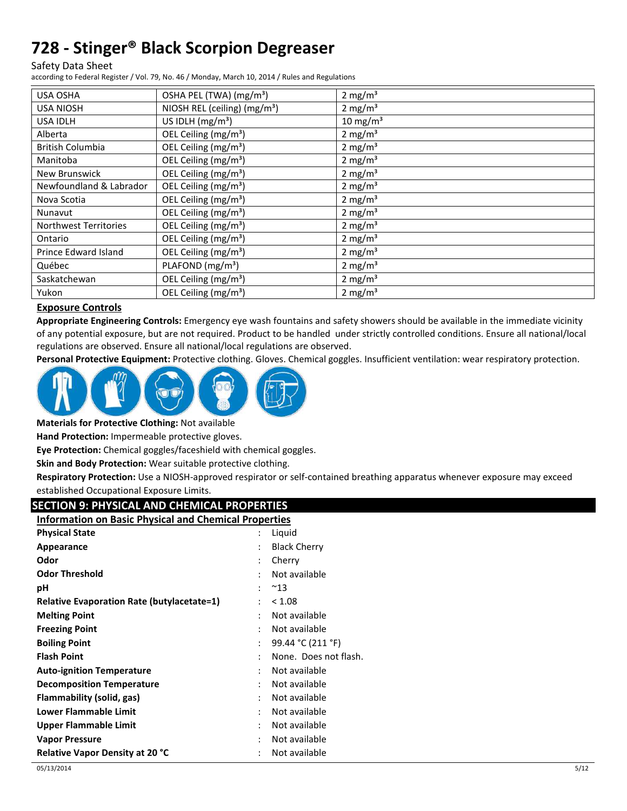Safety Data Sheet

according to Federal Register / Vol. 79, No. 46 / Monday, March 10, 2014 / Rules and Regulations

| <b>USA OSHA</b>              | OSHA PEL (TWA) (mg/m <sup>3</sup> )      | 2 mg/ $m3$          |
|------------------------------|------------------------------------------|---------------------|
| <b>USA NIOSH</b>             | NIOSH REL (ceiling) (mg/m <sup>3</sup> ) | 2 mg/m <sup>3</sup> |
| <b>USA IDLH</b>              | US IDLH $(mg/m3)$                        | $10 \text{ mg/m}^3$ |
| Alberta                      | OEL Ceiling (mg/m <sup>3</sup> )         | 2 mg/m <sup>3</sup> |
| <b>British Columbia</b>      | OEL Ceiling (mg/m <sup>3</sup> )         | 2 mg/ $m3$          |
| Manitoba                     | OEL Ceiling (mg/m <sup>3</sup> )         | 2 mg/m <sup>3</sup> |
| New Brunswick                | OEL Ceiling (mg/m <sup>3</sup> )         | 2 mg/m <sup>3</sup> |
| Newfoundland & Labrador      | OEL Ceiling (mg/m <sup>3</sup> )         | 2 mg/m <sup>3</sup> |
| Nova Scotia                  | OEL Ceiling (mg/m <sup>3</sup> )         | 2 mg/ $m3$          |
| Nunavut                      | OEL Ceiling (mg/m <sup>3</sup> )         | 2 mg/ $m3$          |
| <b>Northwest Territories</b> | OEL Ceiling (mg/m <sup>3</sup> )         | $2 \text{ mg/m}^3$  |
| Ontario                      | OEL Ceiling (mg/m <sup>3</sup> )         | 2 mg/ $m3$          |
| Prince Edward Island         | OEL Ceiling (mg/m <sup>3</sup> )         | $2 \text{ mg/m}^3$  |
| Québec                       | PLAFOND (mg/m <sup>3</sup> )             | $2 \text{ mg/m}^3$  |
| Saskatchewan                 | OEL Ceiling (mg/m <sup>3</sup> )         | 2 mg/ $m3$          |
| Yukon                        | OEL Ceiling (mg/m <sup>3</sup> )         | 2 mg/ $m3$          |

## **Exposure Controls**

**Appropriate Engineering Controls:** Emergency eye wash fountains and safety showers should be available in the immediate vicinity of any potential exposure, but are not required. Product to be handled under strictly controlled conditions. Ensure all national/local regulations are observed. Ensure all national/local regulations are observed.

**Personal Protective Equipment:** Protective clothing. Gloves. Chemical goggles. Insufficient ventilation: wear respiratory protection.



**Materials for Protective Clothing:** Not available

**Hand Protection:** Impermeable protective gloves.

**Eye Protection:** Chemical goggles/faceshield with chemical goggles.

**Skin and Body Protection:** Wear suitable protective clothing.

**Respiratory Protection:** Use a NIOSH-approved respirator or self-contained breathing apparatus whenever exposure may exceed established Occupational Exposure Limits.

## **SECTION 9: PHYSICAL AND CHEMICAL PROPERTIES**

| <b>Information on Basic Physical and Chemical Properties</b> |
|--------------------------------------------------------------|
|--------------------------------------------------------------|

| <b>Physical State</b>                             | ÷ | Liquid                |
|---------------------------------------------------|---|-----------------------|
|                                                   |   |                       |
| Appearance                                        | : | <b>Black Cherry</b>   |
| Odor                                              |   | Cherry                |
| <b>Odor Threshold</b>                             |   | Not available         |
| рH                                                | ٠ | $^{\sim}$ 13          |
| <b>Relative Evaporation Rate (butylacetate=1)</b> |   | < 1.08                |
| <b>Melting Point</b>                              | ٠ | Not available         |
| <b>Freezing Point</b>                             | ٠ | Not available         |
| <b>Boiling Point</b>                              |   | 99.44 °C (211 °F)     |
| <b>Flash Point</b>                                |   | None. Does not flash. |
| <b>Auto-ignition Temperature</b>                  | ٠ | Not available         |
| <b>Decomposition Temperature</b>                  | ٠ | Not available         |
| Flammability (solid, gas)                         |   | Not available         |
| <b>Lower Flammable Limit</b>                      | ٠ | Not available         |
| Upper Flammable Limit                             | ٠ | Not available         |
| <b>Vapor Pressure</b>                             |   | Not available         |
| <b>Relative Vapor Density at 20 °C</b>            |   | Not available         |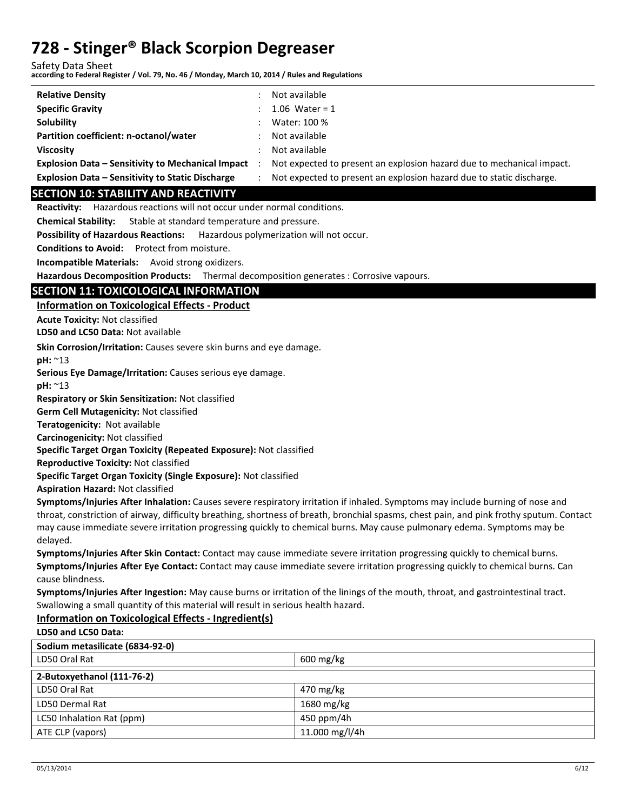Safety Data Sheet

**according to Federal Register / Vol. 79, No. 46 / Monday, March 10, 2014 / Rules and Regulations** 

| <b>Relative Density</b>                                 | Not available                                                         |
|---------------------------------------------------------|-----------------------------------------------------------------------|
| <b>Specific Gravity</b>                                 | 1.06 Water = $1$                                                      |
| <b>Solubility</b>                                       | Water: 100 %                                                          |
| Partition coefficient: n-octanol/water                  | Not available                                                         |
| <b>Viscosity</b>                                        | Not available                                                         |
| Explosion Data - Sensitivity to Mechanical Impact       | Not expected to present an explosion hazard due to mechanical impact. |
| <b>Explosion Data - Sensitivity to Static Discharge</b> | Not expected to present an explosion hazard due to static discharge.  |

## **SECTION 10: STABILITY AND REACTIVITY**

**Reactivity:** Hazardous reactions will not occur under normal conditions.

**Chemical Stability:** Stable at standard temperature and pressure.

**Possibility of Hazardous Reactions:** Hazardous polymerization will not occur.

**Conditions to Avoid:** Protect from moisture.

**Incompatible Materials:** Avoid strong oxidizers.

**Hazardous Decomposition Products:** Thermal decomposition generates : Corrosive vapours.

## **SECTION 11: TOXICOLOGICAL INFORMATION**

**Information on Toxicological Effects - Product** 

**Acute Toxicity:** Not classified

**LD50 and LC50 Data:** Not available

**Skin Corrosion/Irritation:** Causes severe skin burns and eye damage.

**pH:** ~13

**Serious Eye Damage/Irritation:** Causes serious eye damage.

**pH:** ~13

**Respiratory or Skin Sensitization:** Not classified

**Germ Cell Mutagenicity:** Not classified

**Teratogenicity:** Not available

**Carcinogenicity:** Not classified

**Specific Target Organ Toxicity (Repeated Exposure):** Not classified

**Reproductive Toxicity:** Not classified

**Specific Target Organ Toxicity (Single Exposure):** Not classified

**Aspiration Hazard:** Not classified

**Symptoms/Injuries After Inhalation:** Causes severe respiratory irritation if inhaled. Symptoms may include burning of nose and throat, constriction of airway, difficulty breathing, shortness of breath, bronchial spasms, chest pain, and pink frothy sputum. Contact may cause immediate severe irritation progressing quickly to chemical burns. May cause pulmonary edema. Symptoms may be delayed.

**Symptoms/Injuries After Skin Contact:** Contact may cause immediate severe irritation progressing quickly to chemical burns. **Symptoms/Injuries After Eye Contact:** Contact may cause immediate severe irritation progressing quickly to chemical burns. Can cause blindness.

**Symptoms/Injuries After Ingestion:** May cause burns or irritation of the linings of the mouth, throat, and gastrointestinal tract. Swallowing a small quantity of this material will result in serious health hazard.

## **Information on Toxicological Effects - Ingredient(s)**

**LD50 and LC50 Data:**

| Sodium metasilicate (6834-92-0) |                     |  |  |
|---------------------------------|---------------------|--|--|
| LD50 Oral Rat                   | $600 \text{ mg/kg}$ |  |  |
| 2-Butoxyethanol (111-76-2)      |                     |  |  |
| LD50 Oral Rat                   | 470 mg/kg           |  |  |
| LD50 Dermal Rat                 | 1680 mg/kg          |  |  |
| LC50 Inhalation Rat (ppm)       | 450 ppm/4h          |  |  |
| ATE CLP (vapors)                | 11.000 mg/l/4h      |  |  |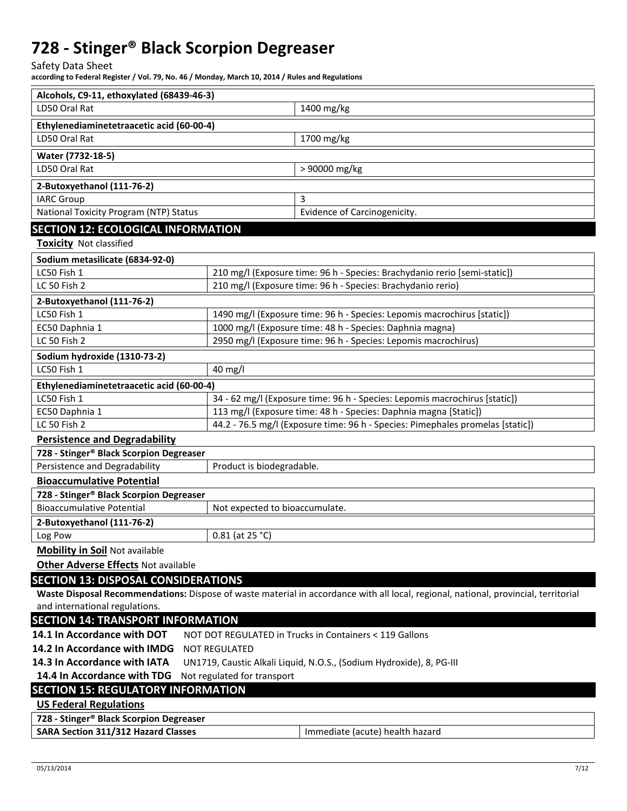Safety Data Sheet

**according to Federal Register / Vol. 79, No. 46 / Monday, March 10, 2014 / Rules and Regulations** 

| Alcohols, C9-11, ethoxylated (68439-46-3)                                                            |                                                                            |                                                                                                                                     |  |  |  |  |  |
|------------------------------------------------------------------------------------------------------|----------------------------------------------------------------------------|-------------------------------------------------------------------------------------------------------------------------------------|--|--|--|--|--|
| LD50 Oral Rat                                                                                        | 1400 mg/kg                                                                 |                                                                                                                                     |  |  |  |  |  |
| Ethylenediaminetetraacetic acid (60-00-4)                                                            |                                                                            |                                                                                                                                     |  |  |  |  |  |
| LD50 Oral Rat<br>1700 mg/kg                                                                          |                                                                            |                                                                                                                                     |  |  |  |  |  |
| Water (7732-18-5)                                                                                    |                                                                            |                                                                                                                                     |  |  |  |  |  |
| LD50 Oral Rat                                                                                        |                                                                            | > 90000 mg/kg                                                                                                                       |  |  |  |  |  |
| 2-Butoxyethanol (111-76-2)                                                                           |                                                                            |                                                                                                                                     |  |  |  |  |  |
| <b>IARC Group</b>                                                                                    |                                                                            | 3                                                                                                                                   |  |  |  |  |  |
| National Toxicity Program (NTP) Status                                                               |                                                                            | Evidence of Carcinogenicity.                                                                                                        |  |  |  |  |  |
| <b>SECTION 12: ECOLOGICAL INFORMATION</b>                                                            |                                                                            |                                                                                                                                     |  |  |  |  |  |
| <b>Toxicity Not classified</b>                                                                       |                                                                            |                                                                                                                                     |  |  |  |  |  |
| Sodium metasilicate (6834-92-0)                                                                      |                                                                            |                                                                                                                                     |  |  |  |  |  |
| LC50 Fish 1                                                                                          |                                                                            | 210 mg/l (Exposure time: 96 h - Species: Brachydanio rerio [semi-static])                                                           |  |  |  |  |  |
| LC 50 Fish 2                                                                                         |                                                                            | 210 mg/l (Exposure time: 96 h - Species: Brachydanio rerio)                                                                         |  |  |  |  |  |
| 2-Butoxyethanol (111-76-2)                                                                           |                                                                            |                                                                                                                                     |  |  |  |  |  |
| LC50 Fish 1                                                                                          |                                                                            | 1490 mg/l (Exposure time: 96 h - Species: Lepomis macrochirus [static])                                                             |  |  |  |  |  |
| EC50 Daphnia 1                                                                                       |                                                                            | 1000 mg/l (Exposure time: 48 h - Species: Daphnia magna)                                                                            |  |  |  |  |  |
| LC 50 Fish 2                                                                                         |                                                                            | 2950 mg/l (Exposure time: 96 h - Species: Lepomis macrochirus)                                                                      |  |  |  |  |  |
| Sodium hydroxide (1310-73-2)                                                                         |                                                                            |                                                                                                                                     |  |  |  |  |  |
| LC50 Fish 1                                                                                          | 40 mg/l                                                                    |                                                                                                                                     |  |  |  |  |  |
| Ethylenediaminetetraacetic acid (60-00-4)                                                            |                                                                            |                                                                                                                                     |  |  |  |  |  |
| LC50 Fish 1                                                                                          | 34 - 62 mg/l (Exposure time: 96 h - Species: Lepomis macrochirus [static]) |                                                                                                                                     |  |  |  |  |  |
| EC50 Daphnia 1                                                                                       | 113 mg/l (Exposure time: 48 h - Species: Daphnia magna [Static])           |                                                                                                                                     |  |  |  |  |  |
| 44.2 - 76.5 mg/l (Exposure time: 96 h - Species: Pimephales promelas [static])<br>LC 50 Fish 2       |                                                                            |                                                                                                                                     |  |  |  |  |  |
| <b>Persistence and Degradability</b>                                                                 |                                                                            |                                                                                                                                     |  |  |  |  |  |
| 728 - Stinger® Black Scorpion Degreaser                                                              |                                                                            |                                                                                                                                     |  |  |  |  |  |
| Persistence and Degradability<br>Product is biodegradable.                                           |                                                                            |                                                                                                                                     |  |  |  |  |  |
| <b>Bioaccumulative Potential</b>                                                                     |                                                                            |                                                                                                                                     |  |  |  |  |  |
| 728 - Stinger® Black Scorpion Degreaser<br><b>Bioaccumulative Potential</b>                          |                                                                            |                                                                                                                                     |  |  |  |  |  |
|                                                                                                      | Not expected to bioaccumulate.                                             |                                                                                                                                     |  |  |  |  |  |
| 2-Butoxyethanol (111-76-2)                                                                           | $0.81$ (at 25 °C)                                                          |                                                                                                                                     |  |  |  |  |  |
| Log Pow                                                                                              |                                                                            |                                                                                                                                     |  |  |  |  |  |
| <b>Mobility in Soil Not available</b>                                                                |                                                                            |                                                                                                                                     |  |  |  |  |  |
| <b>Other Adverse Effects Not available</b>                                                           |                                                                            |                                                                                                                                     |  |  |  |  |  |
| <b>SECTION 13: DISPOSAL CONSIDERATIONS</b>                                                           |                                                                            |                                                                                                                                     |  |  |  |  |  |
| and international regulations.                                                                       |                                                                            | Waste Disposal Recommendations: Dispose of waste material in accordance with all local, regional, national, provincial, territorial |  |  |  |  |  |
| <b>SECTION 14: TRANSPORT INFORMATION</b>                                                             |                                                                            |                                                                                                                                     |  |  |  |  |  |
| 14.1 In Accordance with DOT                                                                          |                                                                            | NOT DOT REGULATED in Trucks in Containers < 119 Gallons                                                                             |  |  |  |  |  |
| 14.2 In Accordance with IMDG                                                                         | <b>NOT REGULATED</b>                                                       |                                                                                                                                     |  |  |  |  |  |
| 14.3 In Accordance with IATA<br>UN1719, Caustic Alkali Liquid, N.O.S., (Sodium Hydroxide), 8, PG-III |                                                                            |                                                                                                                                     |  |  |  |  |  |
| 14.4 In Accordance with TDG                                                                          | Not regulated for transport                                                |                                                                                                                                     |  |  |  |  |  |
| <b>SECTION 15: REGULATORY INFORMATION</b>                                                            |                                                                            |                                                                                                                                     |  |  |  |  |  |
| <b>US Federal Regulations</b>                                                                        |                                                                            |                                                                                                                                     |  |  |  |  |  |
| 728 - Stinger® Black Scorpion Degreaser                                                              |                                                                            |                                                                                                                                     |  |  |  |  |  |
| <b>SARA Section 311/312 Hazard Classes</b>                                                           |                                                                            | Immediate (acute) health hazard                                                                                                     |  |  |  |  |  |
|                                                                                                      |                                                                            |                                                                                                                                     |  |  |  |  |  |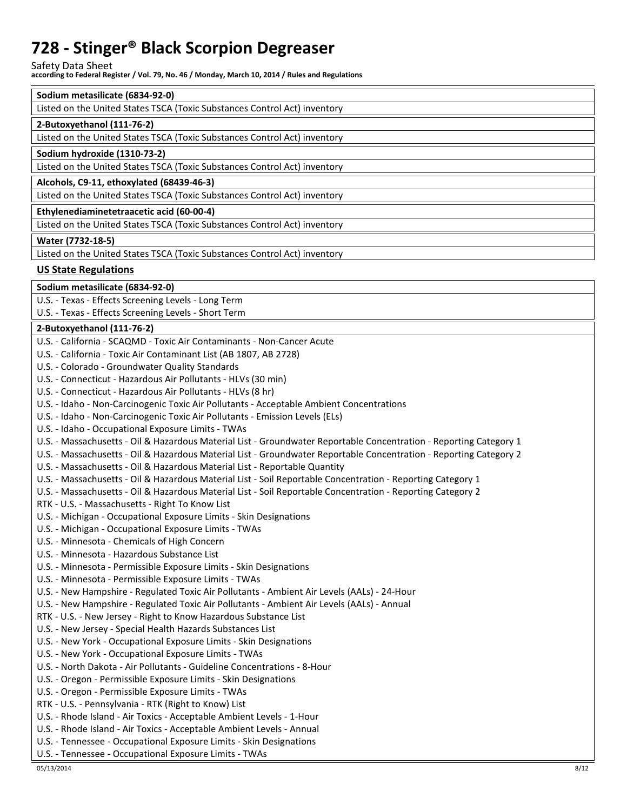Safety Data Sheet **according to Federal Register / Vol. 79, No. 46 / Monday, March 10, 2014 / Rules and Regulations** 

## **Sodium metasilicate (6834-92-0)**

| Listed on the United States TSCA (Toxic Substances Control Act) inventory |
|---------------------------------------------------------------------------|
| 2-Butoxyethanol (111-76-2)                                                |
| Listed on the United States TSCA (Toxic Substances Control Act) inventory |
| Sodium hydroxide (1310-73-2)                                              |
| Listed on the United States TSCA (Toxic Substances Control Act) inventory |
| Alcohols, C9-11, ethoxylated (68439-46-3)                                 |
| Listed on the United States TSCA (Toxic Substances Control Act) inventory |
| Ethylenediaminetetraacetic acid (60-00-4)                                 |
| Listed on the United States TSCA (Toxic Substances Control Act) inventory |
| Water (7732-18-5)                                                         |
| Listed on the United States TSCA (Toxic Substances Control Act) inventory |

#### **US State Regulations**

**Sodium metasilicate (6834-92-0)** 

U.S. - Texas - Effects Screening Levels - Long Term

U.S. - Texas - Effects Screening Levels - Short Term

### **2-Butoxyethanol (111-76-2)**

| U.S. - California - SCAQMD - Toxic Air Contaminants - Non-Cancer Acute                                             |
|--------------------------------------------------------------------------------------------------------------------|
| U.S. - California - Toxic Air Contaminant List (AB 1807, AB 2728)                                                  |
| U.S. - Colorado - Groundwater Quality Standards                                                                    |
| U.S. - Connecticut - Hazardous Air Pollutants - HLVs (30 min)                                                      |
| U.S. - Connecticut - Hazardous Air Pollutants - HLVs (8 hr)                                                        |
| U.S. - Idaho - Non-Carcinogenic Toxic Air Pollutants - Acceptable Ambient Concentrations                           |
| U.S. - Idaho - Non-Carcinogenic Toxic Air Pollutants - Emission Levels (ELs)                                       |
| U.S. - Idaho - Occupational Exposure Limits - TWAs                                                                 |
| U.S. - Massachusetts - Oil & Hazardous Material List - Groundwater Reportable Concentration - Reporting Category 1 |
| U.S. - Massachusetts - Oil & Hazardous Material List - Groundwater Reportable Concentration - Reporting Category 2 |
| U.S. - Massachusetts - Oil & Hazardous Material List - Reportable Quantity                                         |
| U.S. - Massachusetts - Oil & Hazardous Material List - Soil Reportable Concentration - Reporting Category 1        |
| U.S. - Massachusetts - Oil & Hazardous Material List - Soil Reportable Concentration - Reporting Category 2        |
| RTK - U.S. - Massachusetts - Right To Know List                                                                    |
| U.S. - Michigan - Occupational Exposure Limits - Skin Designations                                                 |
| U.S. - Michigan - Occupational Exposure Limits - TWAs                                                              |
| U.S. - Minnesota - Chemicals of High Concern                                                                       |
| U.S. - Minnesota - Hazardous Substance List                                                                        |
| U.S. - Minnesota - Permissible Exposure Limits - Skin Designations                                                 |
| U.S. - Minnesota - Permissible Exposure Limits - TWAs                                                              |
| U.S. - New Hampshire - Regulated Toxic Air Pollutants - Ambient Air Levels (AALs) - 24-Hour                        |
| U.S. - New Hampshire - Regulated Toxic Air Pollutants - Ambient Air Levels (AALs) - Annual                         |
| RTK - U.S. - New Jersey - Right to Know Hazardous Substance List                                                   |
| U.S. - New Jersey - Special Health Hazards Substances List                                                         |
| U.S. - New York - Occupational Exposure Limits - Skin Designations                                                 |
| U.S. - New York - Occupational Exposure Limits - TWAs                                                              |
| U.S. - North Dakota - Air Pollutants - Guideline Concentrations - 8-Hour                                           |
| U.S. - Oregon - Permissible Exposure Limits - Skin Designations                                                    |
| U.S. - Oregon - Permissible Exposure Limits - TWAs                                                                 |
| RTK - U.S. - Pennsylvania - RTK (Right to Know) List                                                               |
| U.S. - Rhode Island - Air Toxics - Acceptable Ambient Levels - 1-Hour                                              |
| U.S. - Rhode Island - Air Toxics - Acceptable Ambient Levels - Annual                                              |
| U.S. - Tennessee - Occupational Exposure Limits - Skin Designations                                                |
| U.S. - Tennessee - Occupational Exposure Limits - TWAs                                                             |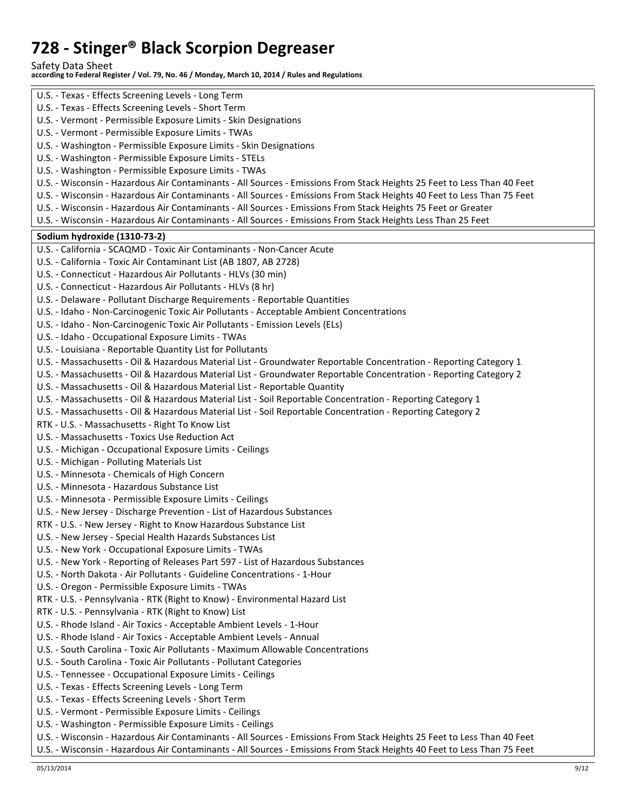Safety Data Sheet **according to Federal Register / Vol. 79, No. 46 / Monday, March 10, 2014 / Rules and Regulations** 

| U.S. - Texas - Effects Screening Levels - Long Term                                                                     |
|-------------------------------------------------------------------------------------------------------------------------|
| U.S. - Texas - Effects Screening Levels - Short Term                                                                    |
| U.S. - Vermont - Permissible Exposure Limits - Skin Designations                                                        |
| U.S. - Vermont - Permissible Exposure Limits - TWAs                                                                     |
| U.S. - Washington - Permissible Exposure Limits - Skin Designations                                                     |
| U.S. - Washington - Permissible Exposure Limits - STELs                                                                 |
| U.S. - Washington - Permissible Exposure Limits - TWAs                                                                  |
| U.S. - Wisconsin - Hazardous Air Contaminants - All Sources - Emissions From Stack Heights 25 Feet to Less Than 40 Feet |
| U.S. - Wisconsin - Hazardous Air Contaminants - All Sources - Emissions From Stack Heights 40 Feet to Less Than 75 Feet |
| U.S. - Wisconsin - Hazardous Air Contaminants - All Sources - Emissions From Stack Heights 75 Feet or Greater           |
| U.S. - Wisconsin - Hazardous Air Contaminants - All Sources - Emissions From Stack Heights Less Than 25 Feet            |
| Sodium hydroxide (1310-73-2)                                                                                            |
| U.S. - California - SCAQMD - Toxic Air Contaminants - Non-Cancer Acute                                                  |
| U.S. - California - Toxic Air Contaminant List (AB 1807, AB 2728)                                                       |
| U.S. - Connecticut - Hazardous Air Pollutants - HLVs (30 min)                                                           |
| U.S. - Connecticut - Hazardous Air Pollutants - HLVs (8 hr)                                                             |
| U.S. - Delaware - Pollutant Discharge Requirements - Reportable Quantities                                              |
| U.S. - Idaho - Non-Carcinogenic Toxic Air Pollutants - Acceptable Ambient Concentrations                                |
|                                                                                                                         |
| U.S. - Idaho - Non-Carcinogenic Toxic Air Pollutants - Emission Levels (ELs)                                            |
| U.S. - Idaho - Occupational Exposure Limits - TWAs                                                                      |
| U.S. - Louisiana - Reportable Quantity List for Pollutants                                                              |
| U.S. - Massachusetts - Oil & Hazardous Material List - Groundwater Reportable Concentration - Reporting Category 1      |
| U.S. - Massachusetts - Oil & Hazardous Material List - Groundwater Reportable Concentration - Reporting Category 2      |
| U.S. - Massachusetts - Oil & Hazardous Material List - Reportable Quantity                                              |
| U.S. - Massachusetts - Oil & Hazardous Material List - Soil Reportable Concentration - Reporting Category 1             |
| U.S. - Massachusetts - Oil & Hazardous Material List - Soil Reportable Concentration - Reporting Category 2             |
| RTK - U.S. - Massachusetts - Right To Know List                                                                         |
| U.S. - Massachusetts - Toxics Use Reduction Act                                                                         |
| U.S. - Michigan - Occupational Exposure Limits - Ceilings                                                               |
| U.S. - Michigan - Polluting Materials List                                                                              |
| U.S. - Minnesota - Chemicals of High Concern                                                                            |
| U.S. - Minnesota - Hazardous Substance List                                                                             |
| U.S. - Minnesota - Permissible Exposure Limits - Ceilings                                                               |
| U.S. - New Jersey - Discharge Prevention - List of Hazardous Substances                                                 |
| RTK - U.S. - New Jersey - Right to Know Hazardous Substance List                                                        |
| U.S. - New Jersey - Special Health Hazards Substances List                                                              |
| U.S. - New York - Occupational Exposure Limits - TWAs                                                                   |
| U.S. - New York - Reporting of Releases Part 597 - List of Hazardous Substances                                         |
| U.S. - North Dakota - Air Pollutants - Guideline Concentrations - 1-Hour                                                |
| U.S. - Oregon - Permissible Exposure Limits - TWAs                                                                      |
| RTK - U.S. - Pennsylvania - RTK (Right to Know) - Environmental Hazard List                                             |
| RTK - U.S. - Pennsylvania - RTK (Right to Know) List                                                                    |
| U.S. - Rhode Island - Air Toxics - Acceptable Ambient Levels - 1-Hour                                                   |
| U.S. - Rhode Island - Air Toxics - Acceptable Ambient Levels - Annual                                                   |
| U.S. - South Carolina - Toxic Air Pollutants - Maximum Allowable Concentrations                                         |
| U.S. - South Carolina - Toxic Air Pollutants - Pollutant Categories                                                     |
| U.S. - Tennessee - Occupational Exposure Limits - Ceilings                                                              |
| U.S. - Texas - Effects Screening Levels - Long Term                                                                     |
| U.S. - Texas - Effects Screening Levels - Short Term                                                                    |
| U.S. - Vermont - Permissible Exposure Limits - Ceilings                                                                 |
| U.S. - Washington - Permissible Exposure Limits - Ceilings                                                              |
| U.S. - Wisconsin - Hazardous Air Contaminants - All Sources - Emissions From Stack Heights 25 Feet to Less Than 40 Feet |
| U.S. - Wisconsin - Hazardous Air Contaminants - All Sources - Emissions From Stack Heights 40 Feet to Less Than 75 Feet |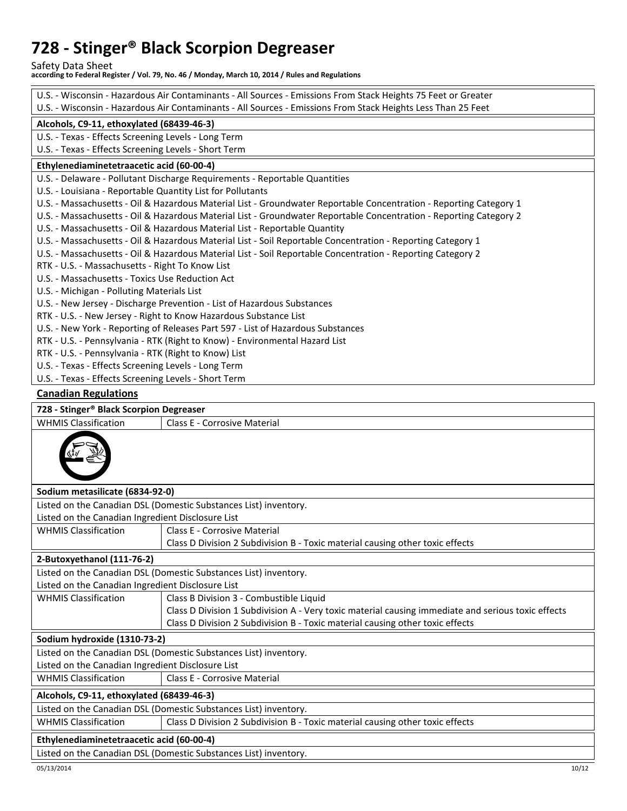Safety Data Sheet **according to Federal Register / Vol. 79, No. 46 / Monday, March 10, 2014 / Rules and Regulations** 

| U.S. - Wisconsin - Hazardous Air Contaminants - All Sources - Emissions From Stack Heights 75 Feet or Greater      |                                                                                                                    |  |  |
|--------------------------------------------------------------------------------------------------------------------|--------------------------------------------------------------------------------------------------------------------|--|--|
| U.S. - Wisconsin - Hazardous Air Contaminants - All Sources - Emissions From Stack Heights Less Than 25 Feet       |                                                                                                                    |  |  |
| Alcohols, C9-11, ethoxylated (68439-46-3)                                                                          |                                                                                                                    |  |  |
| U.S. - Texas - Effects Screening Levels - Long Term                                                                |                                                                                                                    |  |  |
|                                                                                                                    | U.S. - Texas - Effects Screening Levels - Short Term                                                               |  |  |
| Ethylenediaminetetraacetic acid (60-00-4)                                                                          |                                                                                                                    |  |  |
|                                                                                                                    | U.S. - Delaware - Pollutant Discharge Requirements - Reportable Quantities                                         |  |  |
| U.S. - Louisiana - Reportable Quantity List for Pollutants                                                         |                                                                                                                    |  |  |
|                                                                                                                    | U.S. - Massachusetts - Oil & Hazardous Material List - Groundwater Reportable Concentration - Reporting Category 1 |  |  |
| U.S. - Massachusetts - Oil & Hazardous Material List - Groundwater Reportable Concentration - Reporting Category 2 |                                                                                                                    |  |  |
| U.S. - Massachusetts - Oil & Hazardous Material List - Reportable Quantity                                         |                                                                                                                    |  |  |
| U.S. - Massachusetts - Oil & Hazardous Material List - Soil Reportable Concentration - Reporting Category 1        |                                                                                                                    |  |  |
| U.S. - Massachusetts - Oil & Hazardous Material List - Soil Reportable Concentration - Reporting Category 2        |                                                                                                                    |  |  |
| RTK - U.S. - Massachusetts - Right To Know List                                                                    |                                                                                                                    |  |  |
| U.S. - Massachusetts - Toxics Use Reduction Act                                                                    |                                                                                                                    |  |  |
| U.S. - Michigan - Polluting Materials List                                                                         |                                                                                                                    |  |  |
| U.S. - New Jersey - Discharge Prevention - List of Hazardous Substances                                            |                                                                                                                    |  |  |
| RTK - U.S. - New Jersey - Right to Know Hazardous Substance List                                                   |                                                                                                                    |  |  |
| U.S. - New York - Reporting of Releases Part 597 - List of Hazardous Substances                                    |                                                                                                                    |  |  |
|                                                                                                                    | RTK - U.S. - Pennsylvania - RTK (Right to Know) - Environmental Hazard List                                        |  |  |
| RTK - U.S. - Pennsylvania - RTK (Right to Know) List                                                               |                                                                                                                    |  |  |
| U.S. - Texas - Effects Screening Levels - Long Term                                                                |                                                                                                                    |  |  |
| U.S. - Texas - Effects Screening Levels - Short Term                                                               |                                                                                                                    |  |  |
| <b>Canadian Regulations</b>                                                                                        |                                                                                                                    |  |  |
| 728 - Stinger® Black Scorpion Degreaser                                                                            |                                                                                                                    |  |  |
| <b>WHMIS Classification</b>                                                                                        | Class E - Corrosive Material                                                                                       |  |  |
|                                                                                                                    |                                                                                                                    |  |  |
| Sodium metasilicate (6834-92-0)                                                                                    |                                                                                                                    |  |  |
|                                                                                                                    | Listed on the Canadian DSL (Domestic Substances List) inventory.                                                   |  |  |
| Listed on the Canadian Ingredient Disclosure List                                                                  |                                                                                                                    |  |  |
| <b>WHMIS Classification</b>                                                                                        | Class E - Corrosive Material                                                                                       |  |  |
|                                                                                                                    | Class D Division 2 Subdivision B - Toxic material causing other toxic effects                                      |  |  |
| 2-Butoxyethanol (111-76-2)                                                                                         |                                                                                                                    |  |  |
| Listed on the Canadian DSL (Domestic Substances List) inventory.                                                   |                                                                                                                    |  |  |
| Listed on the Canadian Ingredient Disclosure List                                                                  |                                                                                                                    |  |  |
| <b>WHMIS Classification</b>                                                                                        | Class B Division 3 - Combustible Liquid                                                                            |  |  |
|                                                                                                                    | Class D Division 1 Subdivision A - Very toxic material causing immediate and serious toxic effects                 |  |  |
|                                                                                                                    | Class D Division 2 Subdivision B - Toxic material causing other toxic effects                                      |  |  |
| Sodium hydroxide (1310-73-2)                                                                                       |                                                                                                                    |  |  |
| Listed on the Canadian DSL (Domestic Substances List) inventory.                                                   |                                                                                                                    |  |  |
| Listed on the Canadian Ingredient Disclosure List                                                                  |                                                                                                                    |  |  |
| <b>WHMIS Classification</b>                                                                                        | <b>Class E - Corrosive Material</b>                                                                                |  |  |
| Alcohols, C9-11, ethoxylated (68439-46-3)                                                                          |                                                                                                                    |  |  |
| Listed on the Canadian DSL (Domestic Substances List) inventory.                                                   |                                                                                                                    |  |  |
| <b>WHMIS Classification</b>                                                                                        | Class D Division 2 Subdivision B - Toxic material causing other toxic effects                                      |  |  |
| Ethylenediaminetetraacetic acid (60-00-4)                                                                          |                                                                                                                    |  |  |
| Listed on the Canadian DSL (Domestic Substances List) inventory.                                                   |                                                                                                                    |  |  |
|                                                                                                                    |                                                                                                                    |  |  |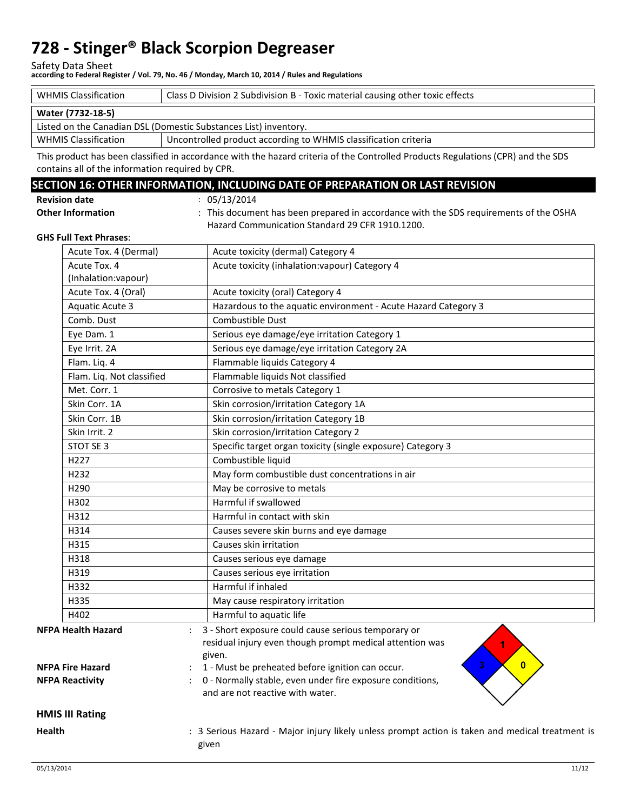Safety Data Sheet

**according to Federal Register / Vol. 79, No. 46 / Monday, March 10, 2014 / Rules and Regulations** 

| <b>WHMIS Classification</b>                                      | Class D Division 2 Subdivision B - Toxic material causing other toxic effects |  |  |
|------------------------------------------------------------------|-------------------------------------------------------------------------------|--|--|
| Water (7732-18-5)                                                |                                                                               |  |  |
| Listed on the Canadian DSL (Domestic Substances List) inventory. |                                                                               |  |  |
| <b>WHMIS Classification</b>                                      | Uncontrolled product according to WHMIS classification criteria               |  |  |

This product has been classified in accordance with the hazard criteria of the Controlled Products Regulations (CPR) and the SDS contains all of the information required by CPR.

### **SECTION 16: OTHER INFORMATION, INCLUDING DATE OF PREPARATION OR LAST REVISION**

**Revision date** : 05/13/2014 **Other Information** : This document has been prepared in accordance with the SDS requirements of the OSHA Hazard Communication Standard 29 CFR 1910.1200.

#### **GHS Full Text Phrases**:

|               | Acute Tox. 4 (Dermal)     | Acute toxicity (dermal) Category 4                                                                                        |
|---------------|---------------------------|---------------------------------------------------------------------------------------------------------------------------|
|               | Acute Tox. 4              | Acute toxicity (inhalation: vapour) Category 4                                                                            |
|               | (Inhalation:vapour)       |                                                                                                                           |
|               | Acute Tox. 4 (Oral)       | Acute toxicity (oral) Category 4                                                                                          |
|               | <b>Aquatic Acute 3</b>    | Hazardous to the aquatic environment - Acute Hazard Category 3                                                            |
|               | Comb. Dust                | Combustible Dust                                                                                                          |
|               | Eye Dam. 1                | Serious eye damage/eye irritation Category 1                                                                              |
|               | Eye Irrit. 2A             | Serious eye damage/eye irritation Category 2A                                                                             |
|               | Flam. Liq. 4              | Flammable liquids Category 4                                                                                              |
|               | Flam. Liq. Not classified | Flammable liquids Not classified                                                                                          |
|               | Met. Corr. 1              | Corrosive to metals Category 1                                                                                            |
|               | Skin Corr. 1A             | Skin corrosion/irritation Category 1A                                                                                     |
|               | Skin Corr. 1B             | Skin corrosion/irritation Category 1B                                                                                     |
|               | Skin Irrit. 2             | Skin corrosion/irritation Category 2                                                                                      |
|               | STOT SE 3                 | Specific target organ toxicity (single exposure) Category 3                                                               |
|               | H <sub>227</sub>          | Combustible liquid                                                                                                        |
|               | H <sub>232</sub>          | May form combustible dust concentrations in air                                                                           |
|               | H <sub>290</sub>          | May be corrosive to metals                                                                                                |
|               | H302                      | Harmful if swallowed                                                                                                      |
|               | H312                      | Harmful in contact with skin                                                                                              |
|               | H314                      | Causes severe skin burns and eye damage                                                                                   |
|               | H315                      | Causes skin irritation                                                                                                    |
|               | H318                      | Causes serious eye damage                                                                                                 |
|               | H319                      | Causes serious eye irritation                                                                                             |
|               | H332                      | Harmful if inhaled                                                                                                        |
|               | H335                      | May cause respiratory irritation                                                                                          |
|               | H402                      | Harmful to aquatic life                                                                                                   |
|               | <b>NFPA Health Hazard</b> | 3 - Short exposure could cause serious temporary or<br>residual injury even though prompt medical attention was<br>given. |
|               | <b>NFPA Fire Hazard</b>   | 3<br>$\overline{0}$<br>1 - Must be preheated before ignition can occur.                                                   |
|               | <b>NFPA Reactivity</b>    | 0 - Normally stable, even under fire exposure conditions,<br>and are not reactive with water.                             |
|               | <b>HMIS III Rating</b>    |                                                                                                                           |
| <b>Health</b> |                           | : 3 Serious Hazard - Major injury likely unless prompt action is taken and medical treatment is<br>given                  |